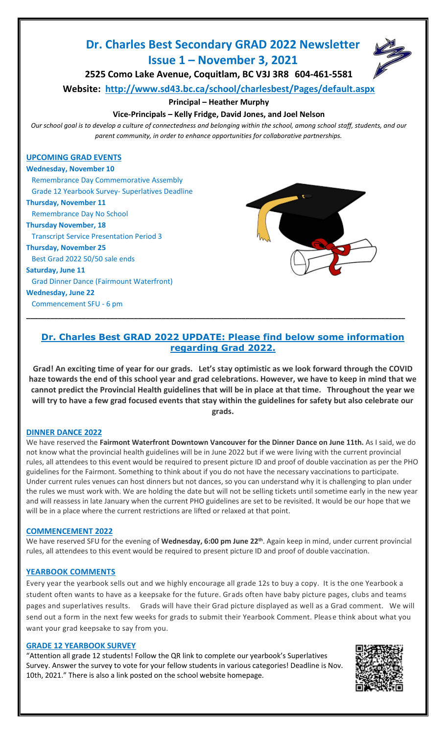# **Dr. Charles Best Secondary GRAD 2022 Newsletter Issue 1 – November 3, 2021**



**2525 Como Lake Avenue, Coquitlam, BC V3J 3R8 604-461-5581**

**Website: <http://www.sd43.bc.ca/school/charlesbest/Pages/default.aspx>**

**Principal – Heather Murphy**

### **Vice-Principals – Kelly Fridge, David Jones, and Joel Nelson**

*Our school goal is to develop a culture of connectedness and belonging within the school, among school staff, students, and our parent community, in order to enhance opportunities for collaborative partnerships.*

#### **UPCOMING GRAD EVENTS**

**Wednesday, November 10**  Remembrance Day Commemorative Assembly Grade 12 Yearbook Survey- Superlatives Deadline

**Thursday, November 11**

Remembrance Day No School

**Thursday November, 18**

Transcript Service Presentation Period 3

#### **Thursday, November 25**

Best Grad 2022 50/50 sale ends

**Saturday, June 11**

Grad Dinner Dance (Fairmount Waterfront)

**Wednesday, June 22**

Commencement SFU - 6 pm



# **Dr. Charles Best GRAD 2022 UPDATE: Please find below some information regarding Grad 2022.**

**\_\_\_\_\_\_\_\_\_\_\_\_\_\_\_\_\_\_\_\_\_\_\_\_\_\_\_\_\_\_\_\_\_\_\_\_\_\_\_\_\_\_\_\_\_\_\_\_\_\_\_\_\_\_\_\_\_\_\_\_\_\_\_\_\_\_\_\_\_\_\_\_\_\_\_\_\_\_\_\_\_\_\_\_\_\_\_\_\_\_\_\_\_\_\_**

**Grad! An exciting time of year for our grads. Let's stay optimistic as we look forward through the COVID haze towards the end of this school year and grad celebrations. However, we have to keep in mind that we cannot predict the Provincial Health guidelines that will be in place at that time. Throughout the year we will try to have a few grad focused events that stay within the guidelines for safety but also celebrate our grads.**

#### **DINNER DANCE 2022**

We have reserved the **Fairmont Waterfront Downtown Vancouver for the Dinner Dance on June 11th.** As I said, we do not know what the provincial health guidelines will be in June 2022 but if we were living with the current provincial rules, all attendees to this event would be required to present picture ID and proof of double vaccination as per the PHO guidelines for the Fairmont. Something to think about if you do not have the necessary vaccinations to participate. Under current rules venues can host dinners but not dances, so you can understand why it is challenging to plan under the rules we must work with. We are holding the date but will not be selling tickets until sometime early in the new year and will reassess in late January when the current PHO guidelines are set to be revisited. It would be our hope that we will be in a place where the current restrictions are lifted or relaxed at that point.

#### **COMMENCEMENT 2022**

We have reserved SFU for the evening of Wednesday, 6:00 pm June 22<sup>th</sup>. Again keep in mind, under current provincial rules, all attendees to this event would be required to present picture ID and proof of double vaccination.

#### **YEARBOOK COMMENTS**

Every year the yearbook sells out and we highly encourage all grade 12s to buy a copy. It is the one Yearbook a student often wants to have as a keepsake for the future. Grads often have baby picture pages, clubs and teams pages and superlatives results. Grads will have their Grad picture displayed as well as a Grad comment. We will send out a form in the next few weeks for grads to submit their Yearbook Comment. Please think about what you want your grad keepsake to say from you.

#### **GRADE 12 YEARBOOK SURVEY**

"Attention all grade 12 students! Follow the QR link to complete our yearbook's Superlatives Survey. Answer the survey to vote for your fellow students in various categories! Deadline is Nov. 10th, 2021." There is also a link posted on the school website homepage.

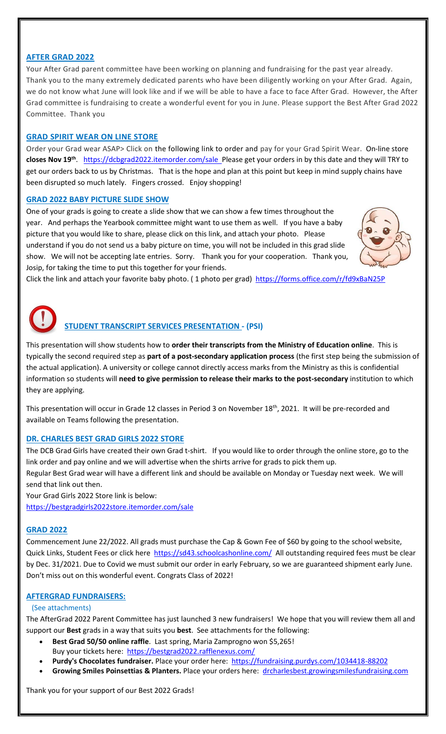## **AFTER GRAD 2022**

Your After Grad parent committee have been working on planning and fundraising for the past year already. Thank you to the many extremely dedicated parents who have been diligently working on your After Grad. Again, we do not know what June will look like and if we will be able to have a face to face After Grad. However, the After Grad committee is fundraising to create a wonderful event for you in June. Please support the Best After Grad 2022 Committee. Thank you

#### **GRAD SPIRIT WEAR ON LINE STORE**

Order your Grad wear ASAP> Click on the following link to order and pay for your Grad Spirit Wear. On-line store closes Nov 19<sup>th</sup>. <https://dcbgrad2022.itemorder.com/sale>Please get your orders in by this date and they will TRY to get our orders back to us by Christmas. That is the hope and plan at this point but keep in mind supply chains have been disrupted so much lately. Fingers crossed. Enjoy shopping!

#### **GRAD 2022 BABY PICTURE SLIDE SHOW**

One of your grads is going to create a slide show that we can show a few times throughout the year. And perhaps the Yearbook committee might want to use them as well. If you have a baby picture that you would like to share, please click on this link, and attach your photo. Please understand if you do not send us a baby picture on time, you will not be included in this grad slide show. We will not be accepting late entries. Sorry. Thank you for your cooperation. Thank you, Josip, for taking the time to put this together for your friends.



Click the link and attach your favorite baby photo. ( 1 photo per grad) <https://forms.office.com/r/fd9xBaN25P>

# **STUDENT TRANSCRIPT SERVICES PRESENTATION - (PSI)**

This presentation will show students how to **order their transcripts from the Ministry of Education online**. This is typically the second required step as **part of a post-secondary application process** (the first step being the submission of the actual application). A university or college cannot directly access marks from the Ministry as this is confidential information so students will **need to give permission to release their marks to the post-secondary** institution to which they are applying.

This presentation will occur in Grade 12 classes in Period 3 on November 18<sup>th</sup>, 2021. It will be pre-recorded and available on Teams following the presentation.

#### **DR. CHARLES BEST GRAD GIRLS 2022 STORE**

The DCB Grad Girls have created their own Grad t-shirt. If you would like to order through the online store, go to the link order and pay online and we will advertise when the shirts arrive for grads to pick them up.

Regular Best Grad wear will have a different link and should be available on Monday or Tuesday next week. We will send that link out then.

Your Grad Girls 2022 Store link is below: <https://bestgradgirls2022store.itemorder.com/sale>

#### **GRAD 2022**

Commencement June 22/2022. All grads must purchase the Cap & Gown Fee of \$60 by going to the school website, Quick Links, Student Fees or click here <https://sd43.schoolcashonline.com/> All outstanding required fees must be clear by Dec. 31/2021. Due to Covid we must submit our order in early February, so we are guaranteed shipment early June. Don't miss out on this wonderful event. Congrats Class of 2022!

#### **AFTERGRAD FUNDRAISERS:**

#### (See attachments)

The AfterGrad 2022 Parent Committee has just launched 3 new fundraisers! We hope that you will review them all and support our **Best** grads in a way that suits you **best**. See attachments for the following:

- **Best Grad 50/50 online raffle**. Last spring, Maria Zamprogno won \$5,265! Buy your tickets here:<https://bestgrad2022.rafflenexus.com/>
- **Purdy's Chocolates fundraiser.** Place your order here: <https://fundraising.purdys.com/1034418-88202>
- **Growing Smiles Poinsettias & Planters.** Place your orders here: [drcharlesbest.growingsmilesfundraising.com](http://drcharlesbest.growingsmilesfundraising.com/)

Thank you for your support of our Best 2022 Grads!